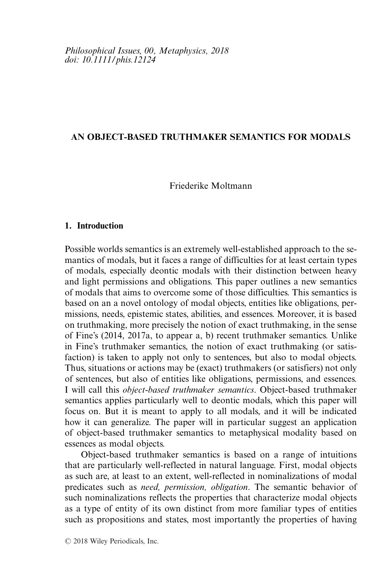# **AN OBJECT-BASED TRUTHMAKER SEMANTICS FOR MODALS**

Friederike Moltmann

# **1. Introduction**

Possible worlds semantics is an extremely well-established approach to the semantics of modals, but it faces a range of difficulties for at least certain types of modals, especially deontic modals with their distinction between heavy and light permissions and obligations. This paper outlines a new semantics of modals that aims to overcome some of those difficulties. This semantics is based on an a novel ontology of modal objects, entities like obligations, permissions, needs, epistemic states, abilities, and essences. Moreover, it is based on truthmaking, more precisely the notion of exact truthmaking, in the sense of Fine's (2014, 2017a, to appear a, b) recent truthmaker semantics. Unlike in Fine's truthmaker semantics, the notion of exact truthmaking (or satisfaction) is taken to apply not only to sentences, but also to modal objects. Thus, situations or actions may be (exact) truthmakers (or satisfiers) not only of sentences, but also of entities like obligations, permissions, and essences. I will call this *object-based truthmaker semantics*. Object-based truthmaker semantics applies particularly well to deontic modals, which this paper will focus on. But it is meant to apply to all modals, and it will be indicated how it can generalize. The paper will in particular suggest an application of object-based truthmaker semantics to metaphysical modality based on essences as modal objects.

Object-based truthmaker semantics is based on a range of intuitions that are particularly well-reflected in natural language. First, modal objects as such are, at least to an extent, well-reflected in nominalizations of modal predicates such as *need, permission, obligation*. The semantic behavior of such nominalizations reflects the properties that characterize modal objects as a type of entity of its own distinct from more familiar types of entities such as propositions and states, most importantly the properties of having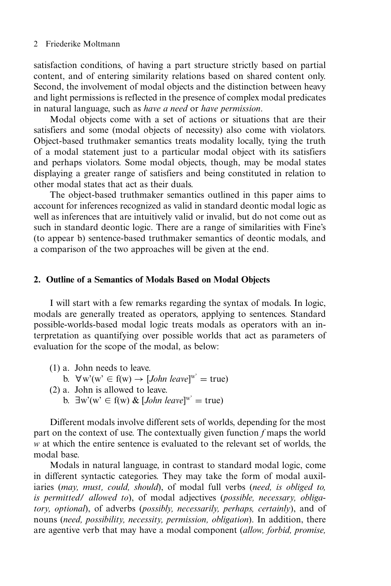satisfaction conditions, of having a part structure strictly based on partial content, and of entering similarity relations based on shared content only. Second, the involvement of modal objects and the distinction between heavy and light permissions is reflected in the presence of complex modal predicates in natural language, such as *have a need* or *have permission*.

Modal objects come with a set of actions or situations that are their satisfiers and some (modal objects of necessity) also come with violators. Object-based truthmaker semantics treats modality locally, tying the truth of a modal statement just to a particular modal object with its satisfiers and perhaps violators. Some modal objects, though, may be modal states displaying a greater range of satisfiers and being constituted in relation to other modal states that act as their duals.

The object-based truthmaker semantics outlined in this paper aims to account for inferences recognized as valid in standard deontic modal logic as well as inferences that are intuitively valid or invalid, but do not come out as such in standard deontic logic. There are a range of similarities with Fine's (to appear b) sentence-based truthmaker semantics of deontic modals, and a comparison of the two approaches will be given at the end.

#### **2. Outline of a Semantics of Modals Based on Modal Objects**

I will start with a few remarks regarding the syntax of modals. In logic, modals are generally treated as operators, applying to sentences. Standard possible-worlds-based modal logic treats modals as operators with an interpretation as quantifying over possible worlds that act as parameters of evaluation for the scope of the modal, as below:

- (1) a. John needs to leave.
	- b.  $\forall w'(w' \in f(w) \rightarrow [John \text{ leave}]^{w'} = true)$
- (2) a. John is allowed to leave.
	- b.  $\exists w'(w' \in f(w) \& [John \text{ leave}]^{w'} = true)$

Different modals involve different sets of worlds, depending for the most part on the context of use. The contextually given function *f* maps the world *w* at which the entire sentence is evaluated to the relevant set of worlds, the modal base.

Modals in natural language, in contrast to standard modal logic, come in different syntactic categories. They may take the form of modal auxiliaries (*may, must, could, should*), of modal full verbs (*need, is obliged to, is permitted/ allowed to*), of modal adjectives (*possible, necessary, obligatory, optional*), of adverbs (*possibly, necessarily, perhaps, certainly*), and of nouns (*need, possibility, necessity, permission, obligation*). In addition, there are agentive verb that may have a modal component (*allow, forbid, promise,*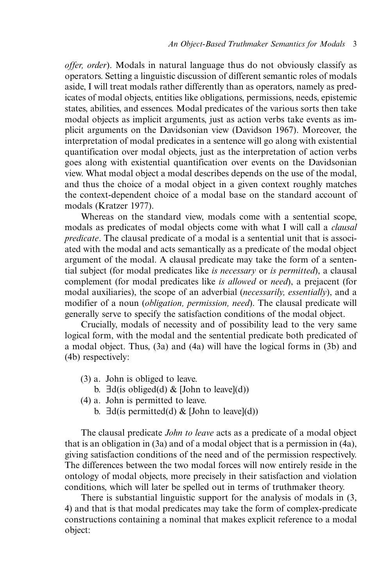*offer, order*). Modals in natural language thus do not obviously classify as operators. Setting a linguistic discussion of different semantic roles of modals aside, I will treat modals rather differently than as operators, namely as predicates of modal objects, entities like obligations, permissions, needs, epistemic states, abilities, and essences. Modal predicates of the various sorts then take modal objects as implicit arguments, just as action verbs take events as implicit arguments on the Davidsonian view (Davidson 1967). Moreover, the interpretation of modal predicates in a sentence will go along with existential quantification over modal objects, just as the interpretation of action verbs goes along with existential quantification over events on the Davidsonian view. What modal object a modal describes depends on the use of the modal, and thus the choice of a modal object in a given context roughly matches the context-dependent choice of a modal base on the standard account of modals (Kratzer 1977).

Whereas on the standard view, modals come with a sentential scope, modals as predicates of modal objects come with what I will call a *clausal predicate*. The clausal predicate of a modal is a sentential unit that is associated with the modal and acts semantically as a predicate of the modal object argument of the modal. A clausal predicate may take the form of a sentential subject (for modal predicates like *is necessary* or *is permitted*), a clausal complement (for modal predicates like *is allowed* or *need*), a prejacent (for modal auxiliaries), the scope of an adverbial (*necessarily, essentially*), and a modifier of a noun (*obligation, permission, need*). The clausal predicate will generally serve to specify the satisfaction conditions of the modal object.

Crucially, modals of necessity and of possibility lead to the very same logical form, with the modal and the sentential predicate both predicated of a modal object. Thus, (3a) and (4a) will have the logical forms in (3b) and (4b) respectively:

- (3) a. John is obliged to leave.
	- b.  $\exists d(i\text{s} \text{ obliged}(d) \& [\text{John to leave}](d))$
- (4) a. John is permitted to leave.
	- b.  $\exists d$ (is permitted(d) & [John to leave](d))

The clausal predicate *John to leave* acts as a predicate of a modal object that is an obligation in (3a) and of a modal object that is a permission in (4a), giving satisfaction conditions of the need and of the permission respectively. The differences between the two modal forces will now entirely reside in the ontology of modal objects, more precisely in their satisfaction and violation conditions, which will later be spelled out in terms of truthmaker theory.

There is substantial linguistic support for the analysis of modals in (3, 4) and that is that modal predicates may take the form of complex-predicate constructions containing a nominal that makes explicit reference to a modal object: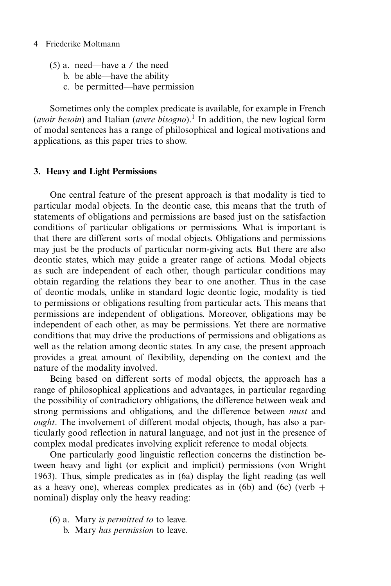- (5) a. need—have a / the need
	- b. be able—have the ability
	- c. be permitted—have permission

Sometimes only the complex predicate is available, for example in French (*avoir besoin*) and Italian (*avere bisogno*).<sup>1</sup> In addition, the new logical form of modal sentences has a range of philosophical and logical motivations and applications, as this paper tries to show.

# **3. Heavy and Light Permissions**

One central feature of the present approach is that modality is tied to particular modal objects. In the deontic case, this means that the truth of statements of obligations and permissions are based just on the satisfaction conditions of particular obligations or permissions. What is important is that there are different sorts of modal objects. Obligations and permissions may just be the products of particular norm-giving acts. But there are also deontic states, which may guide a greater range of actions. Modal objects as such are independent of each other, though particular conditions may obtain regarding the relations they bear to one another. Thus in the case of deontic modals, unlike in standard logic deontic logic, modality is tied to permissions or obligations resulting from particular acts. This means that permissions are independent of obligations. Moreover, obligations may be independent of each other, as may be permissions. Yet there are normative conditions that may drive the productions of permissions and obligations as well as the relation among deontic states. In any case, the present approach provides a great amount of flexibility, depending on the context and the nature of the modality involved.

Being based on different sorts of modal objects, the approach has a range of philosophical applications and advantages, in particular regarding the possibility of contradictory obligations, the difference between weak and strong permissions and obligations, and the difference between *must* and *ought*. The involvement of different modal objects, though, has also a particularly good reflection in natural language, and not just in the presence of complex modal predicates involving explicit reference to modal objects.

One particularly good linguistic reflection concerns the distinction between heavy and light (or explicit and implicit) permissions (von Wright 1963). Thus, simple predicates as in (6a) display the light reading (as well as a heavy one), whereas complex predicates as in (6b) and (6c) (verb  $+$ nominal) display only the heavy reading:

- (6) a. Mary *is permitted to* to leave.
	- b. Mary *has permission* to leave.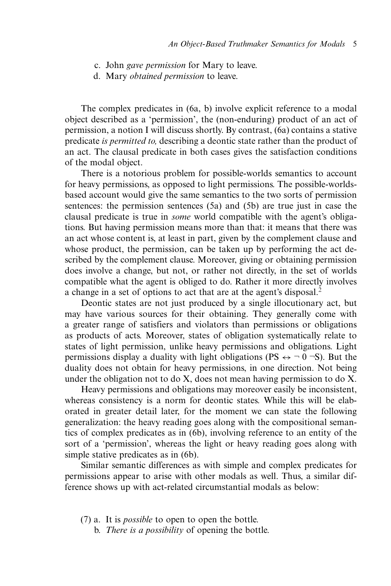- c. John *gave permission* for Mary to leave.
- d. Mary *obtained permission* to leave.

The complex predicates in (6a, b) involve explicit reference to a modal object described as a 'permission', the (non-enduring) product of an act of permission, a notion I will discuss shortly. By contrast, (6a) contains a stative predicate *is permitted to,* describing a deontic state rather than the product of an act. The clausal predicate in both cases gives the satisfaction conditions of the modal object.

There is a notorious problem for possible-worlds semantics to account for heavy permissions, as opposed to light permissions. The possible-worldsbased account would give the same semantics to the two sorts of permission sentences: the permission sentences (5a) and (5b) are true just in case the clausal predicate is true in *some* world compatible with the agent's obligations. But having permission means more than that: it means that there was an act whose content is, at least in part, given by the complement clause and whose product, the permission, can be taken up by performing the act described by the complement clause. Moreover, giving or obtaining permission does involve a change, but not, or rather not directly, in the set of worlds compatible what the agent is obliged to do. Rather it more directly involves a change in a set of options to act that are at the agent's disposal.<sup>2</sup>

Deontic states are not just produced by a single illocutionary act, but may have various sources for their obtaining. They generally come with a greater range of satisfiers and violators than permissions or obligations as products of acts. Moreover, states of obligation systematically relate to states of light permission, unlike heavy permissions and obligations. Light permissions display a duality with light obligations (PS  $\leftrightarrow \neg 0 \neg S$ ). But the duality does not obtain for heavy permissions, in one direction. Not being under the obligation not to do  $X$ , does not mean having permission to do  $X$ .

Heavy permissions and obligations may moreover easily be inconsistent, whereas consistency is a norm for deontic states. While this will be elaborated in greater detail later, for the moment we can state the following generalization: the heavy reading goes along with the compositional semantics of complex predicates as in (6b), involving reference to an entity of the sort of a 'permission', whereas the light or heavy reading goes along with simple stative predicates as in (6b).

Similar semantic differences as with simple and complex predicates for permissions appear to arise with other modals as well. Thus, a similar difference shows up with act-related circumstantial modals as below:

- (7) a. It is *possible* to open to open the bottle.
	- b. *There is a possibility* of opening the bottle.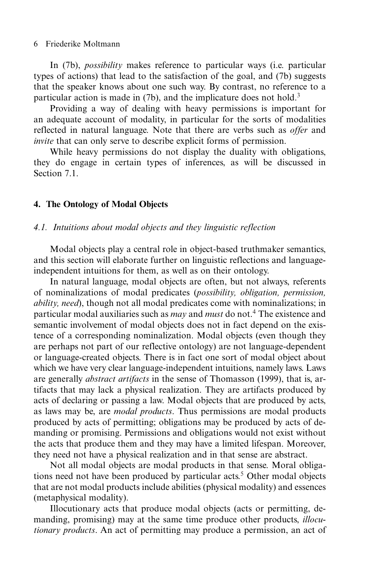In (7b), *possibility* makes reference to particular ways (i.e. particular types of actions) that lead to the satisfaction of the goal, and (7b) suggests that the speaker knows about one such way. By contrast, no reference to a particular action is made in  $(7b)$ , and the implicature does not hold.<sup>3</sup>

Providing a way of dealing with heavy permissions is important for an adequate account of modality, in particular for the sorts of modalities reflected in natural language. Note that there are verbs such as *offer* and *invite* that can only serve to describe explicit forms of permission.

While heavy permissions do not display the duality with obligations, they do engage in certain types of inferences, as will be discussed in Section  $7.1$ .

# **4. The Ontology of Modal Objects**

#### *4.1. Intuitions about modal objects and they linguistic reflection*

Modal objects play a central role in object-based truthmaker semantics, and this section will elaborate further on linguistic reflections and languageindependent intuitions for them, as well as on their ontology.

In natural language, modal objects are often, but not always, referents of nominalizations of modal predicates (*possibility, obligation, permission, ability, need*), though not all modal predicates come with nominalizations; in particular modal auxiliaries such as *may* and *must* do not.4 The existence and semantic involvement of modal objects does not in fact depend on the existence of a corresponding nominalization. Modal objects (even though they are perhaps not part of our reflective ontology) are not language-dependent or language-created objects. There is in fact one sort of modal object about which we have very clear language-independent intuitions, namely laws. Laws are generally *abstract artifacts* in the sense of Thomasson (1999), that is, artifacts that may lack a physical realization. They are artifacts produced by acts of declaring or passing a law. Modal objects that are produced by acts, as laws may be, are *modal products*. Thus permissions are modal products produced by acts of permitting; obligations may be produced by acts of demanding or promising. Permissions and obligations would not exist without the acts that produce them and they may have a limited lifespan. Moreover, they need not have a physical realization and in that sense are abstract.

Not all modal objects are modal products in that sense. Moral obligations need not have been produced by particular acts.<sup>5</sup> Other modal objects that are not modal products include abilities (physical modality) and essences (metaphysical modality).

Illocutionary acts that produce modal objects (acts or permitting, demanding, promising) may at the same time produce other products, *illocutionary products*. An act of permitting may produce a permission, an act of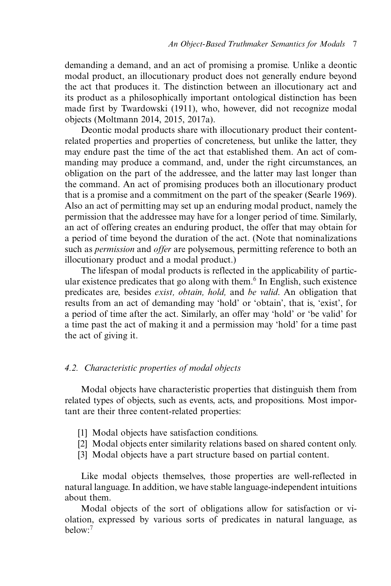demanding a demand, and an act of promising a promise. Unlike a deontic modal product, an illocutionary product does not generally endure beyond the act that produces it. The distinction between an illocutionary act and its product as a philosophically important ontological distinction has been made first by Twardowski (1911), who, however, did not recognize modal objects (Moltmann 2014, 2015, 2017a).

Deontic modal products share with illocutionary product their contentrelated properties and properties of concreteness, but unlike the latter, they may endure past the time of the act that established them. An act of commanding may produce a command, and, under the right circumstances, an obligation on the part of the addressee, and the latter may last longer than the command. An act of promising produces both an illocutionary product that is a promise and a commitment on the part of the speaker (Searle 1969). Also an act of permitting may set up an enduring modal product, namely the permission that the addressee may have for a longer period of time. Similarly, an act of offering creates an enduring product, the offer that may obtain for a period of time beyond the duration of the act. (Note that nominalizations such as *permission* and *offer* are polysemous, permitting reference to both an illocutionary product and a modal product.)

The lifespan of modal products is reflected in the applicability of particular existence predicates that go along with them.<sup>6</sup> In English, such existence predicates are, besides *exist, obtain, hold,* and *be valid*. An obligation that results from an act of demanding may 'hold' or 'obtain', that is, 'exist', for a period of time after the act. Similarly, an offer may 'hold' or 'be valid' for a time past the act of making it and a permission may 'hold' for a time past the act of giving it.

# *4.2. Characteristic properties of modal objects*

Modal objects have characteristic properties that distinguish them from related types of objects, such as events, acts, and propositions. Most important are their three content-related properties:

- [1] Modal objects have satisfaction conditions.
- [2] Modal objects enter similarity relations based on shared content only.
- [3] Modal objects have a part structure based on partial content.

Like modal objects themselves, those properties are well-reflected in natural language. In addition, we have stable language-independent intuitions about them.

Modal objects of the sort of obligations allow for satisfaction or violation, expressed by various sorts of predicates in natural language, as  $helow<sup>7</sup>$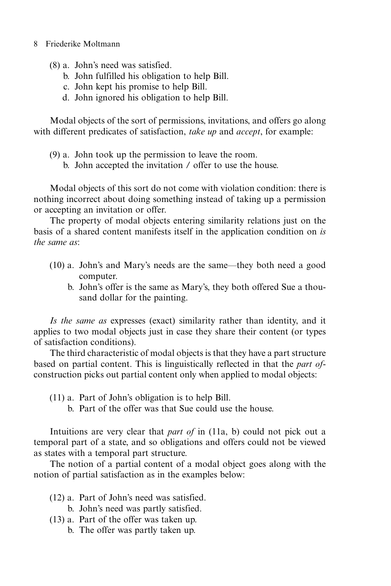- (8) a. John's need was satisfied.
	- b. John fulfilled his obligation to help Bill.
	- c. John kept his promise to help Bill.
	- d. John ignored his obligation to help Bill.

Modal objects of the sort of permissions, invitations, and offers go along with different predicates of satisfaction, *take up* and *accept*, for example:

- (9) a. John took up the permission to leave the room.
	- b. John accepted the invitation / offer to use the house.

Modal objects of this sort do not come with violation condition: there is nothing incorrect about doing something instead of taking up a permission or accepting an invitation or offer.

The property of modal objects entering similarity relations just on the basis of a shared content manifests itself in the application condition on *is the same as*:

- (10) a. John's and Mary's needs are the same—they both need a good computer.
	- b. John's offer is the same as Mary's, they both offered Sue a thousand dollar for the painting.

*Is the same as* expresses (exact) similarity rather than identity, and it applies to two modal objects just in case they share their content (or types of satisfaction conditions).

The third characteristic of modal objects is that they have a part structure based on partial content. This is linguistically reflected in that the *part of*construction picks out partial content only when applied to modal objects:

- (11) a. Part of John's obligation is to help Bill.
	- b. Part of the offer was that Sue could use the house.

Intuitions are very clear that *part of* in (11a, b) could not pick out a temporal part of a state, and so obligations and offers could not be viewed as states with a temporal part structure.

The notion of a partial content of a modal object goes along with the notion of partial satisfaction as in the examples below:

- (12) a. Part of John's need was satisfied.
	- b. John's need was partly satisfied.
- (13) a. Part of the offer was taken up.
	- b. The offer was partly taken up.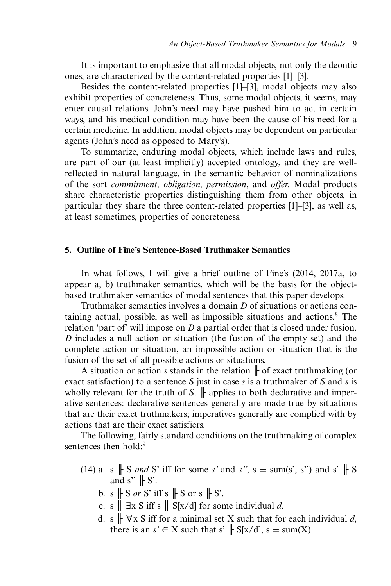It is important to emphasize that all modal objects, not only the deontic ones, are characterized by the content-related properties [1]–[3].

Besides the content-related properties [1]–[3], modal objects may also exhibit properties of concreteness. Thus, some modal objects, it seems, may enter causal relations. John's need may have pushed him to act in certain ways, and his medical condition may have been the cause of his need for a certain medicine. In addition, modal objects may be dependent on particular agents (John's need as opposed to Mary's).

To summarize, enduring modal objects, which include laws and rules, are part of our (at least implicitly) accepted ontology, and they are wellreflected in natural language, in the semantic behavior of nominalizations of the sort *commitment, obligation, permission*, and *offer.* Modal products share characteristic properties distinguishing them from other objects, in particular they share the three content-related properties [1]–[3], as well as, at least sometimes, properties of concreteness.

# **5. Outline of Fine's Sentence-Based Truthmaker Semantics**

In what follows, I will give a brief outline of Fine's (2014, 2017a, to appear a, b) truthmaker semantics, which will be the basis for the objectbased truthmaker semantics of modal sentences that this paper develops.

Truthmaker semantics involves a domain *D* of situations or actions containing actual, possible, as well as impossible situations and actions.<sup>8</sup> The relation 'part of' will impose on *D* a partial order that is closed under fusion. *D* includes a null action or situation (the fusion of the empty set) and the complete action or situation, an impossible action or situation that is the fusion of the set of all possible actions or situations.

A situation or action *s* stands in the relation ╟ of exact truthmaking (or exact satisfaction) to a sentence *S* just in case *s* is a truthmaker of *S* and *s* is wholly relevant for the truth of *S*.  $\parallel$  applies to both declarative and imperative sentences: declarative sentences generally are made true by situations that are their exact truthmakers; imperatives generally are complied with by actions that are their exact satisfiers.

The following, fairly standard conditions on the truthmaking of complex sentences then hold:<sup>9</sup>

- (14) a. s  $\parallel$  S *and* S' iff for some *s'* and *s''*, s = sum(s', s'') and s'  $\parallel$  S and  $s' \rVert S'$ .
	- b. s  $\parallel$  S *or* S' iff s  $\parallel$  S or s  $\parallel$  S'.
	- c. s  $\|$   $\exists$ x S iff s  $\|$  S[x/d] for some individual *d*.
	- d. s  $\| \forall x \in S$  iff for a minimal set X such that for each individual d, there is an  $s' \in X$  such that  $s' \not\parallel S[x/d], s = \text{sum}(X)$ .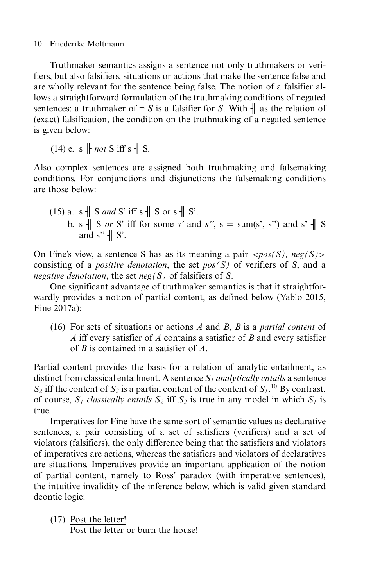Truthmaker semantics assigns a sentence not only truthmakers or verifiers, but also falsifiers, situations or actions that make the sentence false and are wholly relevant for the sentence being false. The notion of a falsifier allows a straightforward formulation of the truthmaking conditions of negated sentences: a truthmaker of  $\neg S$  is a falsifier for *S*. With  $\parallel$  as the relation of (exact) falsification, the condition on the truthmaking of a negated sentence is given below:

 $(14)$  e. s  $\parallel$  *not* S iff s  $\parallel$  S.

Also complex sentences are assigned both truthmaking and falsemaking conditions. For conjunctions and disjunctions the falsemaking conditions are those below:

(15) a. s 
$$
\parallel
$$
 S and S' iff s  $\parallel$  S or s  $\parallel$  S'.  
b. s  $\parallel$  S or S' iff for some s' and s'', s = sum(s', s") and s'  $\parallel$  S and s"  $\parallel$  S'.

On Fine's view, a sentence S has as its meaning a pair  $\langle pos(S), neg(S) \rangle$ consisting of a *positive denotation*, the set *pos(S)* of verifiers of *S*, and a *negative denotation*, the set *neg(S)* of falsifiers of *S*.

One significant advantage of truthmaker semantics is that it straightforwardly provides a notion of partial content, as defined below (Yablo 2015, Fine 2017a):

(16) For sets of situations or actions *A* and *B*, *B* is a *partial content* of *A* iff every satisfier of *A* contains a satisfier of *B* and every satisfier of *B* is contained in a satisfier of *A*.

Partial content provides the basis for a relation of analytic entailment, as distinct from classical entailment. A sentence *S1 analytically entails* a sentence  $S_2$  iff the content of  $S_2$  is a partial content of the content of  $S_1$ .<sup>10</sup> By contrast, of course,  $S_1$  *classically entails*  $S_2$  iff  $S_2$  is true in any model in which  $S_1$  is true.

Imperatives for Fine have the same sort of semantic values as declarative sentences, a pair consisting of a set of satisfiers (verifiers) and a set of violators (falsifiers), the only difference being that the satisfiers and violators of imperatives are actions, whereas the satisfiers and violators of declaratives are situations. Imperatives provide an important application of the notion of partial content, namely to Ross' paradox (with imperative sentences), the intuitive invalidity of the inference below, which is valid given standard deontic logic:

(17) Post the letter!

Post the letter or burn the house!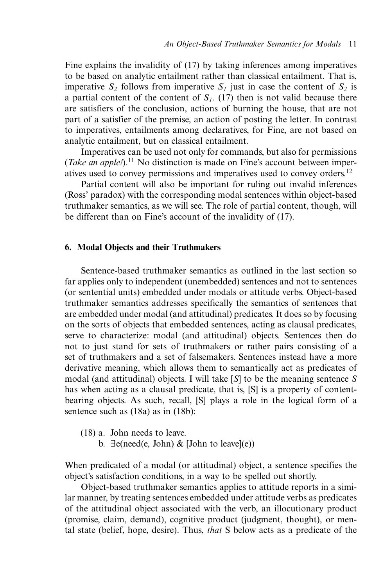Fine explains the invalidity of (17) by taking inferences among imperatives to be based on analytic entailment rather than classical entailment. That is, imperative  $S_2$  follows from imperative  $S_1$  just in case the content of  $S_2$  is a partial content of the content of  $S_l$ . (17) then is not valid because there are satisfiers of the conclusion, actions of burning the house, that are not part of a satisfier of the premise, an action of posting the letter. In contrast to imperatives, entailments among declaratives, for Fine, are not based on analytic entailment, but on classical entailment.

Imperatives can be used not only for commands, but also for permissions (*Take an apple!*).<sup>11</sup> No distinction is made on Fine's account between imperatives used to convey permissions and imperatives used to convey orders.<sup>12</sup>

Partial content will also be important for ruling out invalid inferences (Ross' paradox) with the corresponding modal sentences within object-based truthmaker semantics, as we will see. The role of partial content, though, will be different than on Fine's account of the invalidity of (17).

# **6. Modal Objects and their Truthmakers**

Sentence-based truthmaker semantics as outlined in the last section so far applies only to independent (unembedded) sentences and not to sentences (or sentential units) embedded under modals or attitude verbs. Object-based truthmaker semantics addresses specifically the semantics of sentences that are embedded under modal (and attitudinal) predicates. It does so by focusing on the sorts of objects that embedded sentences, acting as clausal predicates, serve to characterize: modal (and attitudinal) objects. Sentences then do not to just stand for sets of truthmakers or rather pairs consisting of a set of truthmakers and a set of falsemakers. Sentences instead have a more derivative meaning, which allows them to semantically act as predicates of modal (and attitudinal) objects. I will take [*S*] to be the meaning sentence *S* has when acting as a clausal predicate, that is, [S] is a property of contentbearing objects. As such, recall, [S] plays a role in the logical form of a sentence such as (18a) as in (18b):

- (18) a. John needs to leave.
	- b.  $\exists$  e(need(e, John) & [John to leave](e))

When predicated of a modal (or attitudinal) object, a sentence specifies the object's satisfaction conditions, in a way to be spelled out shortly.

Object-based truthmaker semantics applies to attitude reports in a similar manner, by treating sentences embedded under attitude verbs as predicates of the attitudinal object associated with the verb, an illocutionary product (promise, claim, demand), cognitive product (judgment, thought), or mental state (belief, hope, desire). Thus, *that* S below acts as a predicate of the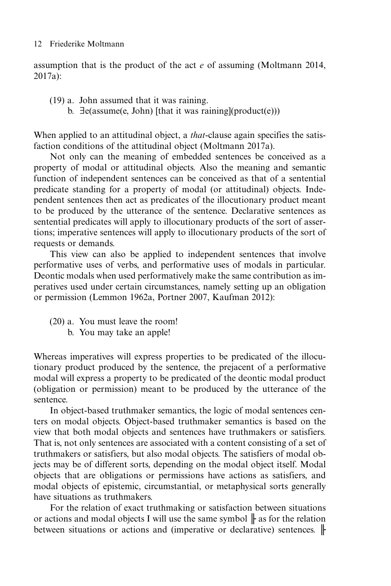assumption that is the product of the act *e* of assuming (Moltmann 2014, 2017a):

- (19) a. John assumed that it was raining.
	- b.  $\exists$ e(assume(e, John) [that it was raining](product(e)))

When applied to an attitudinal object, a *that-*clause again specifies the satisfaction conditions of the attitudinal object (Moltmann 2017a).

Not only can the meaning of embedded sentences be conceived as a property of modal or attitudinal objects. Also the meaning and semantic function of independent sentences can be conceived as that of a sentential predicate standing for a property of modal (or attitudinal) objects. Independent sentences then act as predicates of the illocutionary product meant to be produced by the utterance of the sentence. Declarative sentences as sentential predicates will apply to illocutionary products of the sort of assertions; imperative sentences will apply to illocutionary products of the sort of requests or demands.

This view can also be applied to independent sentences that involve performative uses of verbs, and performative uses of modals in particular. Deontic modals when used performatively make the same contribution as imperatives used under certain circumstances, namely setting up an obligation or permission (Lemmon 1962a, Portner 2007, Kaufman 2012):

- (20) a. You must leave the room!
	- b. You may take an apple!

Whereas imperatives will express properties to be predicated of the illocutionary product produced by the sentence, the prejacent of a performative modal will express a property to be predicated of the deontic modal product (obligation or permission) meant to be produced by the utterance of the sentence.

In object-based truthmaker semantics, the logic of modal sentences centers on modal objects. Object-based truthmaker semantics is based on the view that both modal objects and sentences have truthmakers or satisfiers. That is, not only sentences are associated with a content consisting of a set of truthmakers or satisfiers, but also modal objects. The satisfiers of modal objects may be of different sorts, depending on the modal object itself. Modal objects that are obligations or permissions have actions as satisfiers, and modal objects of epistemic, circumstantial, or metaphysical sorts generally have situations as truthmakers.

For the relation of exact truthmaking or satisfaction between situations or actions and modal objects I will use the same symbol  $\|$  as for the relation between situations or actions and (imperative or declarative) sentences. ⊩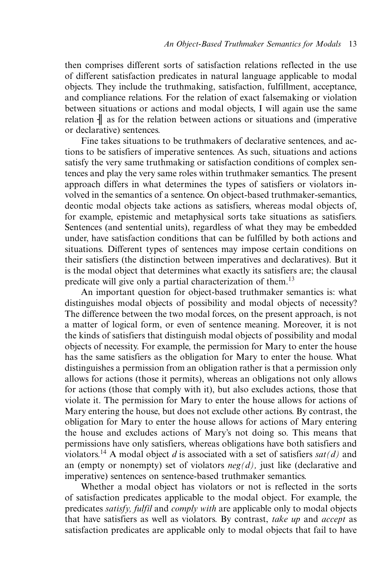then comprises different sorts of satisfaction relations reflected in the use of different satisfaction predicates in natural language applicable to modal objects. They include the truthmaking, satisfaction, fulfillment, acceptance, and compliance relations. For the relation of exact falsemaking or violation between situations or actions and modal objects, I will again use the same relation  $\parallel$  as for the relation between actions or situations and (imperative or declarative) sentences.

Fine takes situations to be truthmakers of declarative sentences, and actions to be satisfiers of imperative sentences. As such, situations and actions satisfy the very same truthmaking or satisfaction conditions of complex sentences and play the very same roles within truthmaker semantics. The present approach differs in what determines the types of satisfiers or violators involved in the semantics of a sentence. On object-based truthmaker-semantics, deontic modal objects take actions as satisfiers, whereas modal objects of, for example, epistemic and metaphysical sorts take situations as satisfiers. Sentences (and sentential units), regardless of what they may be embedded under, have satisfaction conditions that can be fulfilled by both actions and situations. Different types of sentences may impose certain conditions on their satisfiers (the distinction between imperatives and declaratives). But it is the modal object that determines what exactly its satisfiers are; the clausal predicate will give only a partial characterization of them.<sup>13</sup>

An important question for object-based truthmaker semantics is: what distinguishes modal objects of possibility and modal objects of necessity? The difference between the two modal forces, on the present approach, is not a matter of logical form, or even of sentence meaning. Moreover, it is not the kinds of satisfiers that distinguish modal objects of possibility and modal objects of necessity. For example, the permission for Mary to enter the house has the same satisfiers as the obligation for Mary to enter the house. What distinguishes a permission from an obligation rather is that a permission only allows for actions (those it permits), whereas an obligations not only allows for actions (those that comply with it), but also excludes actions, those that violate it. The permission for Mary to enter the house allows for actions of Mary entering the house, but does not exclude other actions. By contrast, the obligation for Mary to enter the house allows for actions of Mary entering the house and excludes actions of Mary's not doing so. This means that permissions have only satisfiers, whereas obligations have both satisfiers and violators.<sup>14</sup> A modal object *d* is associated with a set of satisfiers  $sat(d)$  and an (empty or nonempty) set of violators *neg(d),* just like (declarative and imperative) sentences on sentence-based truthmaker semantics.

Whether a modal object has violators or not is reflected in the sorts of satisfaction predicates applicable to the modal object. For example, the predicates *satisfy, fulfil* and *comply with* are applicable only to modal objects that have satisfiers as well as violators. By contrast, *take up* and *accept* as satisfaction predicates are applicable only to modal objects that fail to have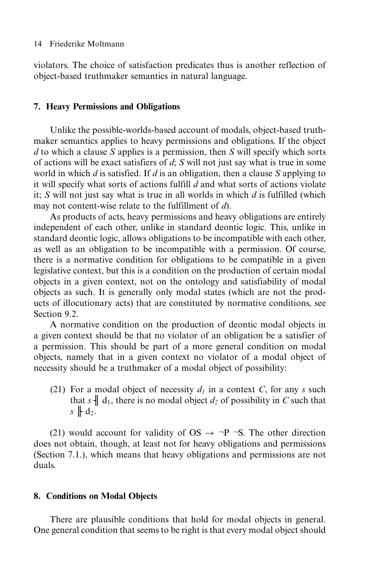violators. The choice of satisfaction predicates thus is another reflection of object-based truthmaker semantics in natural language.

# **7. Heavy Permissions and Obligations**

Unlike the possible-worlds-based account of modals, object-based truthmaker semantics applies to heavy permissions and obligations. If the object *d* to which a clause *S* applies is a permission, then *S* will specify which sorts of actions will be exact satisfiers of *d*; *S* will not just say what is true in some world in which *d* is satisfied. If *d* is an obligation, then a clause *S* applying to it will specify what sorts of actions fulfill *d* and what sorts of actions violate it; *S* will not just say what is true in all worlds in which *d* is fulfilled (which may not content-wise relate to the fulfillment of *d*).

As products of acts, heavy permissions and heavy obligations are entirely independent of each other, unlike in standard deontic logic. This, unlike in standard deontic logic, allows obligations to be incompatible with each other, as well as an obligation to be incompatible with a permission. Of course, there is a normative condition for obligations to be compatible in a given legislative context, but this is a condition on the production of certain modal objects in a given context, not on the ontology and satisfiability of modal objects as such. It is generally only modal states (which are not the products of illocutionary acts) that are constituted by normative conditions, see Section 9.2.

A normative condition on the production of deontic modal objects in a given context should be that no violator of an obligation be a satisfier of a permission. This should be part of a more general condition on modal objects, namely that in a given context no violator of a modal object of necessity should be a truthmaker of a modal object of possibility:

(21) For a modal object of necessity  $d_1$  in a context *C*, for any *s* such that  $s \parallel d_1$ , there is no modal object  $d_2$  of possibility in *C* such that  $s \not\parallel d_2.$ 

(21) would account for validity of OS  $\rightarrow \neg P \neg S$ . The other direction does not obtain, though, at least not for heavy obligations and permissions (Section 7.1.), which means that heavy obligations and permissions are not duals.

# **8. Conditions on Modal Objects**

There are plausible conditions that hold for modal objects in general. One general condition that seems to be right is that every modal object should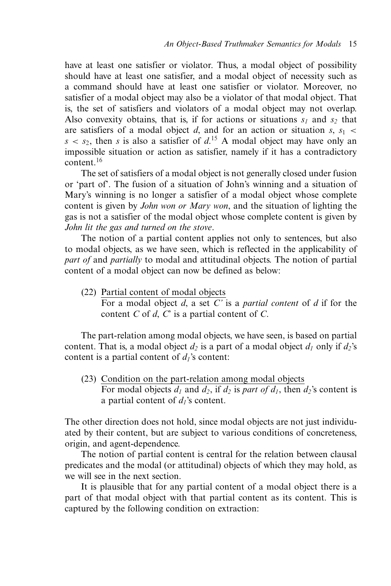have at least one satisfier or violator. Thus, a modal object of possibility should have at least one satisfier, and a modal object of necessity such as a command should have at least one satisfier or violator. Moreover, no satisfier of a modal object may also be a violator of that modal object. That is, the set of satisfiers and violators of a modal object may not overlap. Also convexity obtains, that is, if for actions or situations  $s_1$  and  $s_2$  that are satisfiers of a modal object *d*, and for an action or situation  $s, s_1$  <  $s < s_2$ , then *s* is also a satisfier of  $d<sup>15</sup>$ . A modal object may have only an impossible situation or action as satisfier, namely if it has a contradictory content.<sup>16</sup>

The set of satisfiers of a modal object is not generally closed under fusion or 'part of'. The fusion of a situation of John's winning and a situation of Mary's winning is no longer a satisfier of a modal object whose complete content is given by *John won or Mary won*, and the situation of lighting the gas is not a satisfier of the modal object whose complete content is given by *John lit the gas and turned on the stove*.

The notion of a partial content applies not only to sentences, but also to modal objects, as we have seen, which is reflected in the applicability of *part of* and *partially* to modal and attitudinal objects. The notion of partial content of a modal object can now be defined as below:

(22) Partial content of modal objects For a modal object *d*, a set *C'* is a *partial content* of *d* if for the content *C* of *d*, *C*' is a partial content of *C*.

The part-relation among modal objects, we have seen, is based on partial content. That is, a modal object  $d_2$  is a part of a modal object  $d_1$  only if  $d_2$ 's content is a partial content of  $d_1$ 's content:

(23) Condition on the part-relation among modal objects For modal objects  $d_1$  and  $d_2$ , if  $d_2$  is part of  $d_1$ , then  $d_2$ 's content is a partial content of  $d_1$ 's content.

The other direction does not hold, since modal objects are not just individuated by their content, but are subject to various conditions of concreteness, origin, and agent-dependence.

The notion of partial content is central for the relation between clausal predicates and the modal (or attitudinal) objects of which they may hold, as we will see in the next section.

It is plausible that for any partial content of a modal object there is a part of that modal object with that partial content as its content. This is captured by the following condition on extraction: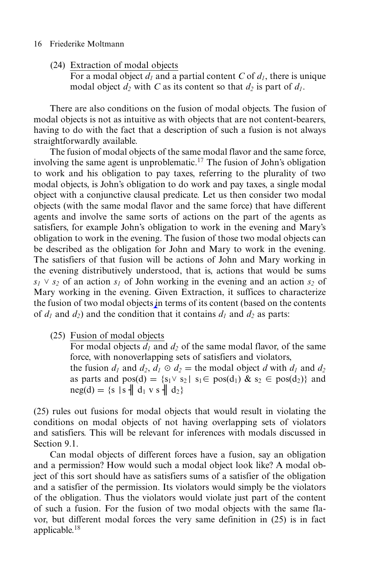(24) Extraction of modal objects

For a modal object  $d_1$  and a partial content *C* of  $d_1$ , there is unique modal object  $d_2$  with C as its content so that  $d_2$  is part of  $d_1$ .

There are also conditions on the fusion of modal objects. The fusion of modal objects is not as intuitive as with objects that are not content-bearers, having to do with the fact that a description of such a fusion is not always straightforwardly available.

The fusion of modal objects of the same modal flavor and the same force, involving the same agent is unproblematic.17 The fusion of John's obligation to work and his obligation to pay taxes, referring to the plurality of two modal objects, is John's obligation to do work and pay taxes, a single modal object with a conjunctive clausal predicate. Let us then consider two modal objects (with the same modal flavor and the same force) that have different agents and involve the same sorts of actions on the part of the agents as satisfiers, for example John's obligation to work in the evening and Mary's obligation to work in the evening. The fusion of those two modal objects can be described as the obligation for John and Mary to work in the evening. The satisfiers of that fusion will be actions of John and Mary working in the evening distributively understood, that is, actions that would be sums  $s_1 \vee s_2$  of an action  $s_1$  of John working in the evening and an action  $s_2$  of Mary working in the evening. Given Extraction, it suffices to characterize the fusion of two modal objects in terms of its content (based on the contents of  $d_1$  and  $d_2$ ) and the condition that it contains  $d_1$  and  $d_2$  as parts:

(25) Fusion of modal objects

For modal objects  $d_1$  and  $d_2$  of the same modal flavor, of the same force, with nonoverlapping sets of satisfiers and violators, the fusion  $d_1$  and  $d_2$ ,  $d_1 \odot d_2 =$  the modal object *d* with  $d_1$  and  $d_2$ as parts and  $pos(d) = \{s_1 \vee s_2 | s_1 \in pos(d_1) \& s_2 \in pos(d_2)\}\$  and  $neg(d) = \{s | s \nvert d_1 \, v s \nvert d_2\}$ 

(25) rules out fusions for modal objects that would result in violating the conditions on modal objects of not having overlapping sets of violators and satisfiers. This will be relevant for inferences with modals discussed in Section 9.1.

Can modal objects of different forces have a fusion, say an obligation and a permission? How would such a modal object look like? A modal object of this sort should have as satisfiers sums of a satisfier of the obligation and a satisfier of the permission. Its violators would simply be the violators of the obligation. Thus the violators would violate just part of the content of such a fusion. For the fusion of two modal objects with the same flavor, but different modal forces the very same definition in (25) is in fact applicable.<sup>18</sup>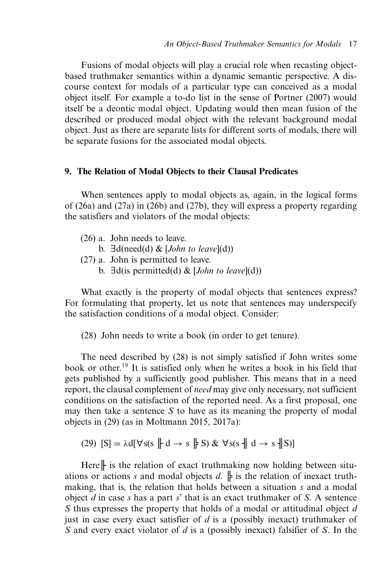Fusions of modal objects will play a crucial role when recasting objectbased truthmaker semantics within a dynamic semantic perspective. A discourse context for modals of a particular type can conceived as a modal object itself. For example a to-do list in the sense of Portner (2007) would itself be a deontic modal object. Updating would then mean fusion of the described or produced modal object with the relevant background modal object. Just as there are separate lists for different sorts of modals, there will be separate fusions for the associated modal objects.

## **9. The Relation of Modal Objects to their Clausal Predicates**

When sentences apply to modal objects as, again, in the logical forms of (26a) and (27a) in (26b) and (27b), they will express a property regarding the satisfiers and violators of the modal objects:

- b.  $\exists d(need(d) \& [John to leave](d))$
- (27) a. John is permitted to leave.
	- b.  $\exists d$ (is permitted(d) & [*John to leave*](d))

What exactly is the property of modal objects that sentences express? For formulating that property, let us note that sentences may underspecify the satisfaction conditions of a modal object. Consider:

(28) John needs to write a book (in order to get tenure).

The need described by (28) is not simply satisfied if John writes some book or other.<sup>19</sup> It is satisfied only when he writes a book in his field that gets published by a sufficiently good publisher. This means that in a need report, the clausal complement of *need* may give only necessary, not sufficient conditions on the satisfaction of the reported need. As a first proposal, one may then take a sentence *S* to have as its meaning the property of modal objects in (29) (as in Moltmann 2015, 2017a):

(29) 
$$
[S] = \lambda d[\forall s(s \parallel d \rightarrow s \parallel S) \& \forall s(s \parallel d \rightarrow s \parallel S)]
$$

Here∥ is the relation of exact truthmaking now holding between situations or actions *s* and modal objects *d*.  $\parallel$  is the relation of inexact truthmaking, that is, the relation that holds between a situation *s* and a modal object *d* in case *s* has a part *s*' that is an exact truthmaker of *S*. A sentence *S* thus expresses the property that holds of a modal or attitudinal object *d* just in case every exact satisfier of *d* is a (possibly inexact) truthmaker of *S* and every exact violator of *d* is a (possibly inexact) falsifier of *S*. In the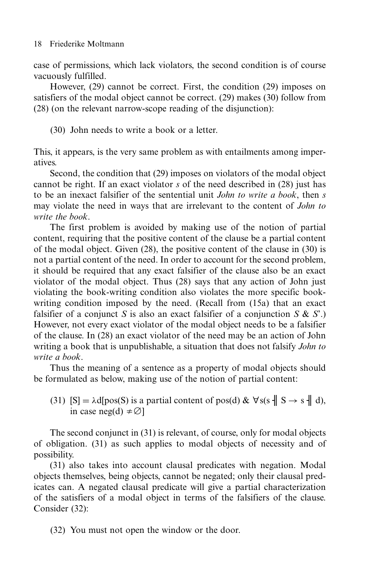case of permissions, which lack violators, the second condition is of course vacuously fulfilled.

However, (29) cannot be correct. First, the condition (29) imposes on satisfiers of the modal object cannot be correct. (29) makes (30) follow from (28) (on the relevant narrow-scope reading of the disjunction):

(30) John needs to write a book or a letter.

This, it appears, is the very same problem as with entailments among imperatives.

Second, the condition that (29) imposes on violators of the modal object cannot be right. If an exact violator *s* of the need described in (28) just has to be an inexact falsifier of the sentential unit *John to write a book*, then *s* may violate the need in ways that are irrelevant to the content of *John to write the book*.

The first problem is avoided by making use of the notion of partial content, requiring that the positive content of the clause be a partial content of the modal object. Given (28), the positive content of the clause in (30) is not a partial content of the need. In order to account for the second problem, it should be required that any exact falsifier of the clause also be an exact violator of the modal object. Thus (28) says that any action of John just violating the book-writing condition also violates the more specific bookwriting condition imposed by the need. (Recall from (15a) that an exact falsifier of a conjunct *S* is also an exact falsifier of a conjunction *S* & *S*'.) However, not every exact violator of the modal object needs to be a falsifier of the clause. In (28) an exact violator of the need may be an action of John writing a book that is unpublishable, a situation that does not falsify *John to write a book*.

Thus the meaning of a sentence as a property of modal objects should be formulated as below, making use of the notion of partial content:

(31)  $[S] = \lambda d[pos(S) \text{ is a partial content of } pos(d) \& \forall s(s \parallel S \rightarrow s \parallel d),$ in case neg(d)  $\neq \emptyset$ ]

The second conjunct in (31) is relevant, of course, only for modal objects of obligation. (31) as such applies to modal objects of necessity and of possibility.

(31) also takes into account clausal predicates with negation. Modal objects themselves, being objects, cannot be negated; only their clausal predicates can. A negated clausal predicate will give a partial characterization of the satisfiers of a modal object in terms of the falsifiers of the clause. Consider (32):

(32) You must not open the window or the door.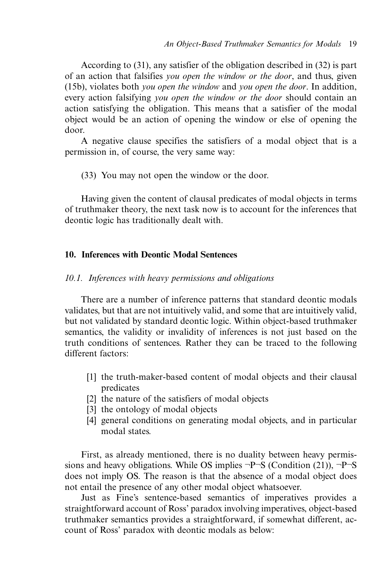According to (31), any satisfier of the obligation described in (32) is part of an action that falsifies *you open the window or the door*, and thus, given (15b), violates both *you open the window* and *you open the door*. In addition, every action falsifying *you open the window or the door* should contain an action satisfying the obligation. This means that a satisfier of the modal object would be an action of opening the window or else of opening the door.

A negative clause specifies the satisfiers of a modal object that is a permission in, of course, the very same way:

(33) You may not open the window or the door.

Having given the content of clausal predicates of modal objects in terms of truthmaker theory, the next task now is to account for the inferences that deontic logic has traditionally dealt with.

## **10. Inferences with Deontic Modal Sentences**

## *10.1. Inferences with heavy permissions and obligations*

There are a number of inference patterns that standard deontic modals validates, but that are not intuitively valid, and some that are intuitively valid, but not validated by standard deontic logic. Within object-based truthmaker semantics, the validity or invalidity of inferences is not just based on the truth conditions of sentences. Rather they can be traced to the following different factors:

- [1] the truth-maker-based content of modal objects and their clausal predicates
- [2] the nature of the satisfiers of modal objects
- [3] the ontology of modal objects
- [4] general conditions on generating modal objects, and in particular modal states.

First, as already mentioned, there is no duality between heavy permissions and heavy obligations. While OS implies  $\neg P\neg S$  (Condition (21)),  $\neg P\neg S$ does not imply OS. The reason is that the absence of a modal object does not entail the presence of any other modal object whatsoever.

Just as Fine's sentence-based semantics of imperatives provides a straightforward account of Ross' paradox involving imperatives, object-based truthmaker semantics provides a straightforward, if somewhat different, account of Ross' paradox with deontic modals as below: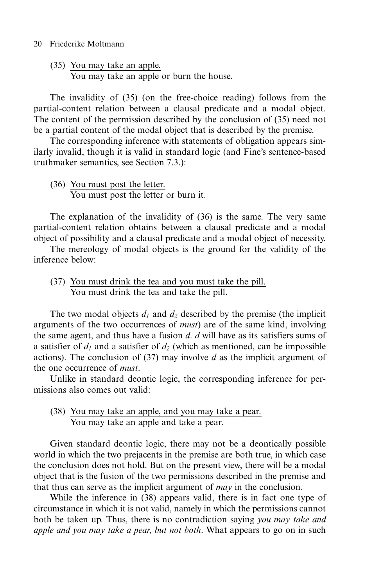(35) You may take an apple.

You may take an apple or burn the house.

The invalidity of (35) (on the free-choice reading) follows from the partial-content relation between a clausal predicate and a modal object. The content of the permission described by the conclusion of (35) need not be a partial content of the modal object that is described by the premise.

The corresponding inference with statements of obligation appears similarly invalid, though it is valid in standard logic (and Fine's sentence-based truthmaker semantics, see Section 7.3.):

(36) You must post the letter. You must post the letter or burn it.

The explanation of the invalidity of (36) is the same. The very same partial-content relation obtains between a clausal predicate and a modal object of possibility and a clausal predicate and a modal object of necessity.

The mereology of modal objects is the ground for the validity of the inference below:

(37) You must drink the tea and you must take the pill. You must drink the tea and take the pill.

The two modal objects  $d_1$  and  $d_2$  described by the premise (the implicit arguments of the two occurrences of *must*) are of the same kind, involving the same agent, and thus have a fusion *d*. *d* will have as its satisfiers sums of a satisfier of  $d_1$  and a satisfier of  $d_2$  (which as mentioned, can be impossible actions). The conclusion of (37) may involve *d* as the implicit argument of the one occurrence of *must*.

Unlike in standard deontic logic, the corresponding inference for permissions also comes out valid:

(38) You may take an apple, and you may take a pear. You may take an apple and take a pear.

Given standard deontic logic, there may not be a deontically possible world in which the two prejacents in the premise are both true, in which case the conclusion does not hold. But on the present view, there will be a modal object that is the fusion of the two permissions described in the premise and that thus can serve as the implicit argument of *may* in the conclusion.

While the inference in (38) appears valid, there is in fact one type of circumstance in which it is not valid, namely in which the permissions cannot both be taken up. Thus, there is no contradiction saying *you may take and apple and you may take a pear, but not both*. What appears to go on in such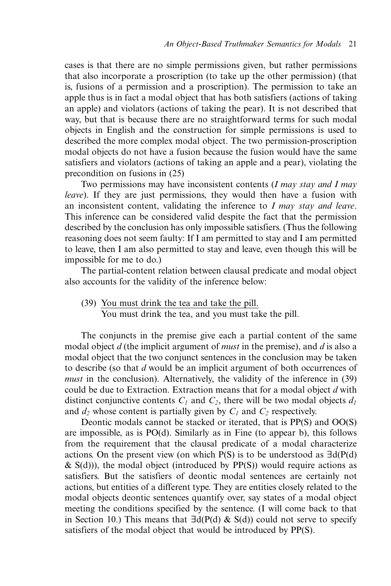cases is that there are no simple permissions given, but rather permissions that also incorporate a proscription (to take up the other permission) (that is, fusions of a permission and a proscription). The permission to take an apple thus is in fact a modal object that has both satisfiers (actions of taking an apple) and violators (actions of taking the pear). It is not described that way, but that is because there are no straightforward terms for such modal objects in English and the construction for simple permissions is used to described the more complex modal object. The two permission-proscription modal objects do not have a fusion because the fusion would have the same satisfiers and violators (actions of taking an apple and a pear), violating the precondition on fusions in (25)

Two permissions may have inconsistent contents (*I may stay and I may leave*). If they are just permissions, they would then have a fusion with an inconsistent content, validating the inference to *I may stay and leave*. This inference can be considered valid despite the fact that the permission described by the conclusion has only impossible satisfiers. (Thus the following reasoning does not seem faulty: If I am permitted to stay and I am permitted to leave, then I am also permitted to stay and leave, even though this will be impossible for me to do.)

The partial-content relation between clausal predicate and modal object also accounts for the validity of the inference below:

(39) You must drink the tea and take the pill. You must drink the tea, and you must take the pill.

The conjuncts in the premise give each a partial content of the same modal object *d* (the implicit argument of *must* in the premise), and *d* is also a modal object that the two conjunct sentences in the conclusion may be taken to describe (so that *d* would be an implicit argument of both occurrences of *must* in the conclusion). Alternatively, the validity of the inference in (39) could be due to Extraction. Extraction means that for a modal object *d* with distinct conjunctive contents  $C_1$  and  $C_2$ , there will be two modal objects  $d_1$ and  $d_2$  whose content is partially given by  $C_1$  and  $C_2$  respectively.

Deontic modals cannot be stacked or iterated, that is PP(S) and OO(S) are impossible, as is PO(d). Similarly as in Fine (to appear b), this follows from the requirement that the clausal predicate of a modal characterize actions. On the present view (on which  $P(S)$  is to be understood as  $\exists d(P(d))$  $\&$  S(d))), the modal object (introduced by PP(S)) would require actions as satisfiers. But the satisfiers of deontic modal sentences are certainly not actions, but entities of a different type. They are entities closely related to the modal objects deontic sentences quantify over, say states of a modal object meeting the conditions specified by the sentence. (I will come back to that in Section 10.) This means that  $\exists d(P(d) \& S(d))$  could not serve to specify satisfiers of the modal object that would be introduced by PP(S).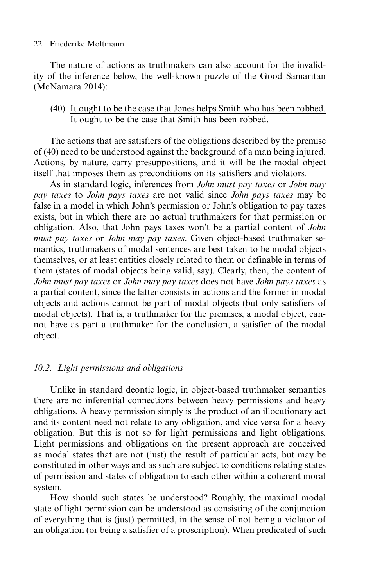The nature of actions as truthmakers can also account for the invalidity of the inference below, the well-known puzzle of the Good Samaritan (McNamara 2014):

# (40) It ought to be the case that Jones helps Smith who has been robbed. It ought to be the case that Smith has been robbed.

The actions that are satisfiers of the obligations described by the premise of (40) need to be understood against the background of a man being injured. Actions, by nature, carry presuppositions, and it will be the modal object itself that imposes them as preconditions on its satisfiers and violators.

As in standard logic, inferences from *John must pay taxes* or *John may pay taxes* to *John pays taxes* are not valid since *John pays taxes* may be false in a model in which John's permission or John's obligation to pay taxes exists, but in which there are no actual truthmakers for that permission or obligation. Also, that John pays taxes won't be a partial content of *John must pay taxes* or *John may pay taxes*. Given object-based truthmaker semantics, truthmakers of modal sentences are best taken to be modal objects themselves, or at least entities closely related to them or definable in terms of them (states of modal objects being valid, say). Clearly, then, the content of *John must pay taxes* or *John may pay taxes* does not have *John pays taxes* as a partial content, since the latter consists in actions and the former in modal objects and actions cannot be part of modal objects (but only satisfiers of modal objects). That is, a truthmaker for the premises, a modal object, cannot have as part a truthmaker for the conclusion, a satisfier of the modal object.

# *10.2. Light permissions and obligations*

Unlike in standard deontic logic, in object-based truthmaker semantics there are no inferential connections between heavy permissions and heavy obligations. A heavy permission simply is the product of an illocutionary act and its content need not relate to any obligation, and vice versa for a heavy obligation. But this is not so for light permissions and light obligations. Light permissions and obligations on the present approach are conceived as modal states that are not (just) the result of particular acts, but may be constituted in other ways and as such are subject to conditions relating states of permission and states of obligation to each other within a coherent moral system.

How should such states be understood? Roughly, the maximal modal state of light permission can be understood as consisting of the conjunction of everything that is (just) permitted, in the sense of not being a violator of an obligation (or being a satisfier of a proscription). When predicated of such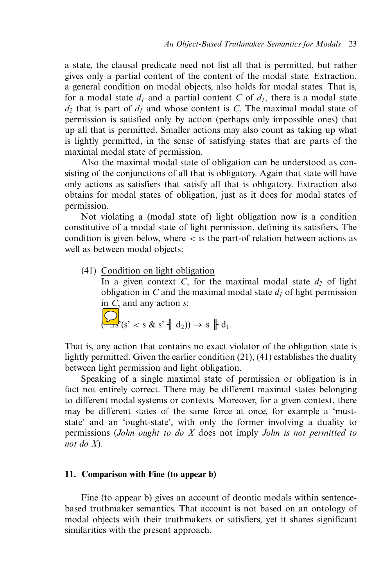a state, the clausal predicate need not list all that is permitted, but rather gives only a partial content of the content of the modal state. Extraction, a general condition on modal objects, also holds for modal states. That is, for a modal state  $d_1$  and a partial content C of  $d_1$ , there is a modal state  $d_2$  that is part of  $d_1$  and whose content is *C*. The maximal modal state of permission is satisfied only by action (perhaps only impossible ones) that up all that is permitted. Smaller actions may also count as taking up what is lightly permitted, in the sense of satisfying states that are parts of the maximal modal state of permission.

Also the maximal modal state of obligation can be understood as consisting of the conjunctions of all that is obligatory. Again that state will have only actions as satisfiers that satisfy all that is obligatory. Extraction also obtains for modal states of obligation, just as it does for modal states of permission.

Not violating a (modal state of) light obligation now is a condition constitutive of a modal state of light permission, defining its satisfiers. The condition is given below, where < is the part-of relation between actions as well as between modal objects:

(41) Condition on light obligation

In a given context *C*, for the maximal modal state  $d_2$  of light obligation in *C* and the maximal modal state  $d_1$  of light permission in *C*, and any action *s*:

$$
\sum_{\mathbf{S} \in \mathcal{S}} (s^{\prime} < s \mathbf{\&} s^{\prime} \mathbf{w} \mathbf{d}_2) \rightarrow s \mathbf{w} \mathbf{d}_1.
$$

That is, any action that contains no exact violator of the obligation state is lightly permitted. Given the earlier condition (21), (41) establishes the duality between light permission and light obligation.

Speaking of a single maximal state of permission or obligation is in fact not entirely correct. There may be different maximal states belonging to different modal systems or contexts. Moreover, for a given context, there may be different states of the same force at once, for example a 'muststate' and an 'ought-state', with only the former involving a duality to permissions (*John ought to do X* does not imply *John is not permitted to not do X*).

#### **11. Comparison with Fine (to appear b)**

Fine (to appear b) gives an account of deontic modals within sentencebased truthmaker semantics. That account is not based on an ontology of modal objects with their truthmakers or satisfiers, yet it shares significant similarities with the present approach.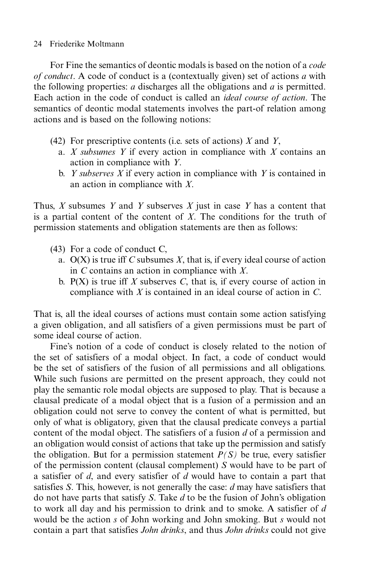For Fine the semantics of deontic modals is based on the notion of a *code of conduct*. A code of conduct is a (contextually given) set of actions *a* with the following properties: *a* discharges all the obligations and *a* is permitted. Each action in the code of conduct is called an *ideal course of action*. The semantics of deontic modal statements involves the part-of relation among actions and is based on the following notions:

- (42) For prescriptive contents (i.e. sets of actions) *X* and *Y*,
	- a. *X subsumes Y* if every action in compliance with *X* contains an action in compliance with *Y*.
	- b. *Y subserves X* if every action in compliance with *Y* is contained in an action in compliance with *X*.

Thus, *X* subsumes *Y* and *Y* subserves *X* just in case *Y* has a content that is a partial content of the content of *X*. The conditions for the truth of permission statements and obligation statements are then as follows:

- (43) For a code of conduct C,
	- a. O(X) is true iff *C* subsumes *X*, that is, if every ideal course of action in *C* contains an action in compliance with *X*.
	- b.  $P(X)$  is true iff *X* subserves *C*, that is, if every course of action in compliance with *X* is contained in an ideal course of action in *C*.

That is, all the ideal courses of actions must contain some action satisfying a given obligation, and all satisfiers of a given permissions must be part of some ideal course of action.

Fine's notion of a code of conduct is closely related to the notion of the set of satisfiers of a modal object. In fact, a code of conduct would be the set of satisfiers of the fusion of all permissions and all obligations. While such fusions are permitted on the present approach, they could not play the semantic role modal objects are supposed to play. That is because a clausal predicate of a modal object that is a fusion of a permission and an obligation could not serve to convey the content of what is permitted, but only of what is obligatory, given that the clausal predicate conveys a partial content of the modal object. The satisfiers of a fusion *d* of a permission and an obligation would consist of actions that take up the permission and satisfy the obligation. But for a permission statement  $P(S)$  be true, every satisfier of the permission content (clausal complement) *S* would have to be part of a satisfier of *d*, and every satisfier of *d* would have to contain a part that satisfies *S*. This, however, is not generally the case: *d* may have satisfiers that do not have parts that satisfy *S*. Take *d* to be the fusion of John's obligation to work all day and his permission to drink and to smoke. A satisfier of *d* would be the action *s* of John working and John smoking. But *s* would not contain a part that satisfies *John drinks*, and thus *John drinks* could not give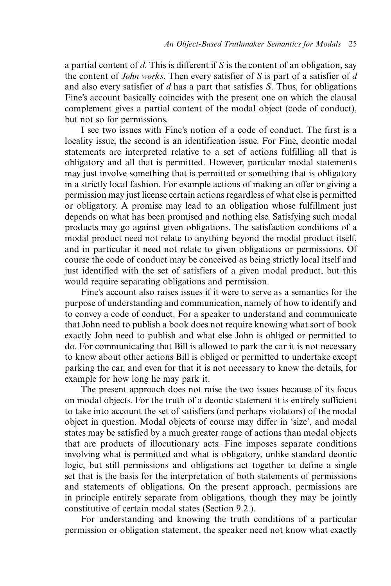a partial content of *d*. This is different if *S* is the content of an obligation, say the content of *John works*. Then every satisfier of *S* is part of a satisfier of *d* and also every satisfier of *d* has a part that satisfies *S*. Thus, for obligations Fine's account basically coincides with the present one on which the clausal complement gives a partial content of the modal object (code of conduct), but not so for permissions.

I see two issues with Fine's notion of a code of conduct. The first is a locality issue, the second is an identification issue. For Fine, deontic modal statements are interpreted relative to a set of actions fulfilling all that is obligatory and all that is permitted. However, particular modal statements may just involve something that is permitted or something that is obligatory in a strictly local fashion. For example actions of making an offer or giving a permission may just license certain actions regardless of what else is permitted or obligatory. A promise may lead to an obligation whose fulfillment just depends on what has been promised and nothing else. Satisfying such modal products may go against given obligations. The satisfaction conditions of a modal product need not relate to anything beyond the modal product itself, and in particular it need not relate to given obligations or permissions. Of course the code of conduct may be conceived as being strictly local itself and just identified with the set of satisfiers of a given modal product, but this would require separating obligations and permission.

Fine's account also raises issues if it were to serve as a semantics for the purpose of understanding and communication, namely of how to identify and to convey a code of conduct. For a speaker to understand and communicate that John need to publish a book does not require knowing what sort of book exactly John need to publish and what else John is obliged or permitted to do. For communicating that Bill is allowed to park the car it is not necessary to know about other actions Bill is obliged or permitted to undertake except parking the car, and even for that it is not necessary to know the details, for example for how long he may park it.

The present approach does not raise the two issues because of its focus on modal objects. For the truth of a deontic statement it is entirely sufficient to take into account the set of satisfiers (and perhaps violators) of the modal object in question. Modal objects of course may differ in 'size', and modal states may be satisfied by a much greater range of actions than modal objects that are products of illocutionary acts. Fine imposes separate conditions involving what is permitted and what is obligatory, unlike standard deontic logic, but still permissions and obligations act together to define a single set that is the basis for the interpretation of both statements of permissions and statements of obligations. On the present approach, permissions are in principle entirely separate from obligations, though they may be jointly constitutive of certain modal states (Section 9.2.).

For understanding and knowing the truth conditions of a particular permission or obligation statement, the speaker need not know what exactly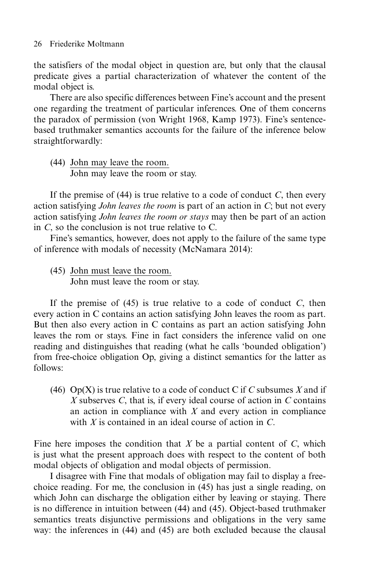the satisfiers of the modal object in question are, but only that the clausal predicate gives a partial characterization of whatever the content of the modal object is.

There are also specific differences between Fine's account and the present one regarding the treatment of particular inferences. One of them concerns the paradox of permission (von Wright 1968, Kamp 1973). Fine's sentencebased truthmaker semantics accounts for the failure of the inference below straightforwardly:

(44) John may leave the room. John may leave the room or stay.

If the premise of (44) is true relative to a code of conduct *C*, then every action satisfying *John leaves the room* is part of an action in *C*; but not every action satisfying *John leaves the room or stays* may then be part of an action in *C*, so the conclusion is not true relative to C.

Fine's semantics, however, does not apply to the failure of the same type of inference with modals of necessity (McNamara 2014):

(45) John must leave the room. John must leave the room or stay.

If the premise of (45) is true relative to a code of conduct *C*, then every action in C contains an action satisfying John leaves the room as part. But then also every action in C contains as part an action satisfying John leaves the rom or stays. Fine in fact considers the inference valid on one reading and distinguishes that reading (what he calls 'bounded obligation') from free-choice obligation Op, giving a distinct semantics for the latter as follows:

(46) Op(X) is true relative to a code of conduct C if *C* subsumes *X* and if *X* subserves *C*, that is, if every ideal course of action in *C* contains an action in compliance with *X* and every action in compliance with *X* is contained in an ideal course of action in *C*.

Fine here imposes the condition that *X* be a partial content of *C*, which is just what the present approach does with respect to the content of both modal objects of obligation and modal objects of permission.

I disagree with Fine that modals of obligation may fail to display a freechoice reading. For me, the conclusion in (45) has just a single reading, on which John can discharge the obligation either by leaving or staying. There is no difference in intuition between (44) and (45). Object-based truthmaker semantics treats disjunctive permissions and obligations in the very same way: the inferences in (44) and (45) are both excluded because the clausal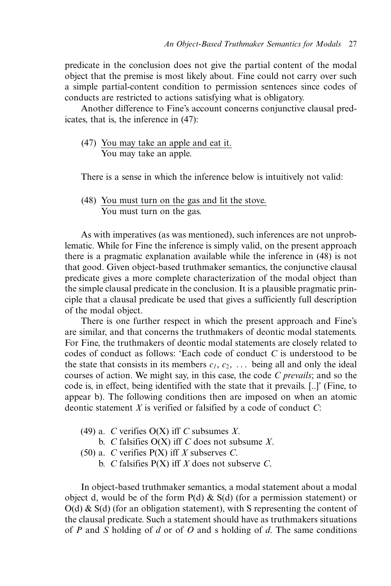predicate in the conclusion does not give the partial content of the modal object that the premise is most likely about. Fine could not carry over such a simple partial-content condition to permission sentences since codes of conducts are restricted to actions satisfying what is obligatory.

Another difference to Fine's account concerns conjunctive clausal predicates, that is, the inference in (47):

(47) You may take an apple and eat it. You may take an apple.

There is a sense in which the inference below is intuitively not valid:

(48) You must turn on the gas and lit the stove. You must turn on the gas.

As with imperatives (as was mentioned), such inferences are not unproblematic. While for Fine the inference is simply valid, on the present approach there is a pragmatic explanation available while the inference in (48) is not that good. Given object-based truthmaker semantics, the conjunctive clausal predicate gives a more complete characterization of the modal object than the simple clausal predicate in the conclusion. It is a plausible pragmatic principle that a clausal predicate be used that gives a sufficiently full description of the modal object.

There is one further respect in which the present approach and Fine's are similar, and that concerns the truthmakers of deontic modal statements. For Fine, the truthmakers of deontic modal statements are closely related to codes of conduct as follows: 'Each code of conduct *C* is understood to be the state that consists in its members  $c_1, c_2, \ldots$  being all and only the ideal courses of action. We might say, in this case, the code *C prevails*; and so the code is, in effect, being identified with the state that it prevails. [..]' (Fine, to appear b). The following conditions then are imposed on when an atomic deontic statement *X* is verified or falsified by a code of conduct *C*:

- (49) a. *C* verifies O(X) iff *C* subsumes *X*.
	- b. *C* falsifies O(X) iff *C* does not subsume *X*.
- (50) a. *C* verifies P(X) iff *X* subserves *C*.
	- b. *C* falsifies P(X) iff *X* does not subserve *C*.

In object-based truthmaker semantics, a modal statement about a modal object d, would be of the form  $P(d)$  &  $S(d)$  (for a permission statement) or  $O(d)$  &  $S(d)$  (for an obligation statement), with S representing the content of the clausal predicate. Such a statement should have as truthmakers situations of *P* and *S* holding of *d* or of *O* and s holding of *d*. The same conditions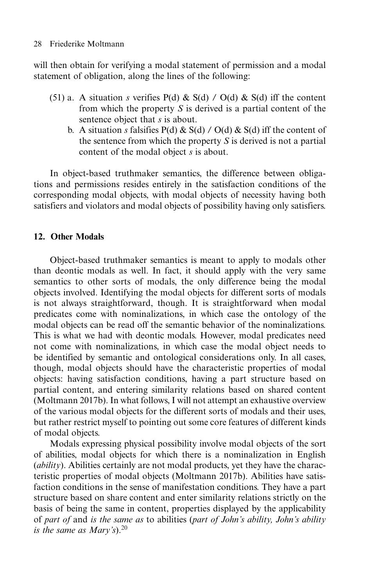will then obtain for verifying a modal statement of permission and a modal statement of obligation, along the lines of the following:

- (51) a. A situation *s* verifies  $P(d) \& S(d) / O(d) \& S(d)$  iff the content from which the property *S* is derived is a partial content of the sentence object that *s* is about.
	- b. A situation *s* falsifies  $P(d) \& S(d) / O(d) \& S(d)$  iff the content of the sentence from which the property *S* is derived is not a partial content of the modal object *s* is about.

In object-based truthmaker semantics, the difference between obligations and permissions resides entirely in the satisfaction conditions of the corresponding modal objects, with modal objects of necessity having both satisfiers and violators and modal objects of possibility having only satisfiers.

# **12. Other Modals**

Object-based truthmaker semantics is meant to apply to modals other than deontic modals as well. In fact, it should apply with the very same semantics to other sorts of modals, the only difference being the modal objects involved. Identifying the modal objects for different sorts of modals is not always straightforward, though. It is straightforward when modal predicates come with nominalizations, in which case the ontology of the modal objects can be read off the semantic behavior of the nominalizations. This is what we had with deontic modals. However, modal predicates need not come with nominalizations, in which case the modal object needs to be identified by semantic and ontological considerations only. In all cases, though, modal objects should have the characteristic properties of modal objects: having satisfaction conditions, having a part structure based on partial content, and entering similarity relations based on shared content (Moltmann 2017b). In what follows, I will not attempt an exhaustive overview of the various modal objects for the different sorts of modals and their uses, but rather restrict myself to pointing out some core features of different kinds of modal objects.

Modals expressing physical possibility involve modal objects of the sort of abilities, modal objects for which there is a nominalization in English (*ability*). Abilities certainly are not modal products, yet they have the characteristic properties of modal objects (Moltmann 2017b). Abilities have satisfaction conditions in the sense of manifestation conditions. They have a part structure based on share content and enter similarity relations strictly on the basis of being the same in content, properties displayed by the applicability of *part of* and *is the same as* to abilities (*part of John's ability, John's ability is the same as Mary's*).<sup>20</sup>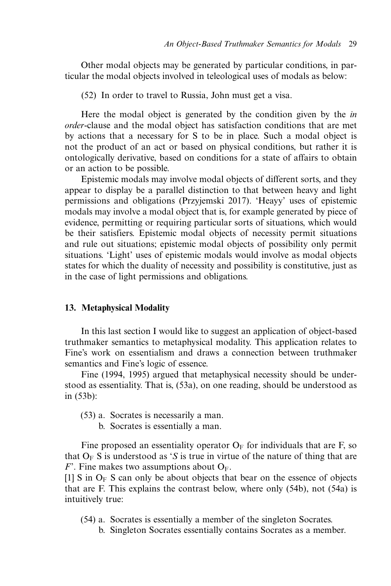Other modal objects may be generated by particular conditions, in particular the modal objects involved in teleological uses of modals as below:

(52) In order to travel to Russia, John must get a visa.

Here the modal object is generated by the condition given by the *in order*-clause and the modal object has satisfaction conditions that are met by actions that a necessary for S to be in place. Such a modal object is not the product of an act or based on physical conditions, but rather it is ontologically derivative, based on conditions for a state of affairs to obtain or an action to be possible.

Epistemic modals may involve modal objects of different sorts, and they appear to display be a parallel distinction to that between heavy and light permissions and obligations (Przyjemski 2017). 'Heayy' uses of epistemic modals may involve a modal object that is, for example generated by piece of evidence, permitting or requiring particular sorts of situations, which would be their satisfiers. Epistemic modal objects of necessity permit situations and rule out situations; epistemic modal objects of possibility only permit situations. 'Light' uses of epistemic modals would involve as modal objects states for which the duality of necessity and possibility is constitutive, just as in the case of light permissions and obligations.

#### **13. Metaphysical Modality**

In this last section I would like to suggest an application of object-based truthmaker semantics to metaphysical modality. This application relates to Fine's work on essentialism and draws a connection between truthmaker semantics and Fine's logic of essence.

Fine (1994, 1995) argued that metaphysical necessity should be understood as essentiality. That is, (53a), on one reading, should be understood as in (53b):

- (53) a. Socrates is necessarily a man.
	- b. Socrates is essentially a man.

Fine proposed an essentiality operator  $O_F$  for individuals that are F, so that  $O_F S$  is understood as '*S* is true in virtue of the nature of thing that are *F*'. Fine makes two assumptions about  $O_F$ .

[1] S in  $O_F$  S can only be about objects that bear on the essence of objects that are F. This explains the contrast below, where only (54b), not (54a) is intuitively true:

- (54) a. Socrates is essentially a member of the singleton Socrates.
	- b. Singleton Socrates essentially contains Socrates as a member.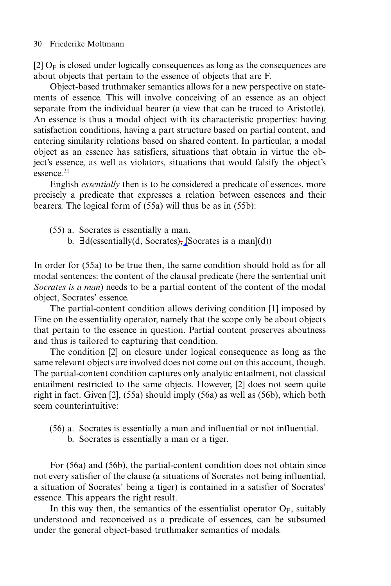[2]  $O_F$  is closed under logically consequences as long as the consequences are about objects that pertain to the essence of objects that are F.

Object-based truthmaker semantics allows for a new perspective on statements of essence. This will involve conceiving of an essence as an object separate from the individual bearer (a view that can be traced to Aristotle). An essence is thus a modal object with its characteristic properties: having satisfaction conditions, having a part structure based on partial content, and entering similarity relations based on shared content. In particular, a modal object as an essence has satisfiers, situations that obtain in virtue the object's essence, as well as violators, situations that would falsify the object's essence.<sup>21</sup>

English *essentially* then is to be considered a predicate of essences, more precisely a predicate that expresses a relation between essences and their bearers. The logical form of (55a) will thus be as in (55b):

- (55) a. Socrates is essentially a man.
	- b.  $\exists d$ (essentially(d, Socrates), [Socrates is a man](d))

In order for (55a) to be true then, the same condition should hold as for all modal sentences: the content of the clausal predicate (here the sentential unit *Socrates is a man*) needs to be a partial content of the content of the modal object, Socrates' essence.

The partial-content condition allows deriving condition [1] imposed by Fine on the essentiality operator, namely that the scope only be about objects that pertain to the essence in question. Partial content preserves aboutness and thus is tailored to capturing that condition.

The condition [2] on closure under logical consequence as long as the same relevant objects are involved does not come out on this account, though. The partial-content condition captures only analytic entailment, not classical entailment restricted to the same objects. However, [2] does not seem quite right in fact. Given [2], (55a) should imply (56a) as well as (56b), which both seem counterintuitive:

- (56) a. Socrates is essentially a man and influential or not influential.
	- b. Socrates is essentially a man or a tiger.

For (56a) and (56b), the partial-content condition does not obtain since not every satisfier of the clause (a situations of Socrates not being influential, a situation of Socrates' being a tiger) is contained in a satisfier of Socrates' essence. This appears the right result.

In this way then, the semantics of the essentialist operator  $O_F$ , suitably understood and reconceived as a predicate of essences, can be subsumed under the general object-based truthmaker semantics of modals.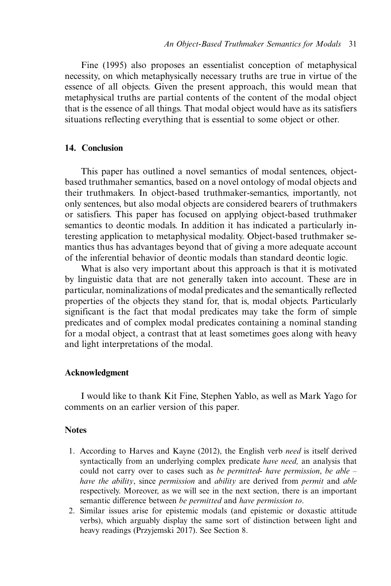Fine (1995) also proposes an essentialist conception of metaphysical necessity, on which metaphysically necessary truths are true in virtue of the essence of all objects. Given the present approach, this would mean that metaphysical truths are partial contents of the content of the modal object that is the essence of all things. That modal object would have as its satisfiers situations reflecting everything that is essential to some object or other.

## **14. Conclusion**

This paper has outlined a novel semantics of modal sentences, objectbased truthmaher semantics, based on a novel ontology of modal objects and their truthmakers. In object-based truthmaker-semantics, importantly, not only sentences, but also modal objects are considered bearers of truthmakers or satisfiers. This paper has focused on applying object-based truthmaker semantics to deontic modals. In addition it has indicated a particularly interesting application to metaphysical modality. Object-based truthmaker semantics thus has advantages beyond that of giving a more adequate account of the inferential behavior of deontic modals than standard deontic logic.

What is also very important about this approach is that it is motivated by linguistic data that are not generally taken into account. These are in particular, nominalizations of modal predicates and the semantically reflected properties of the objects they stand for, that is, modal objects. Particularly significant is the fact that modal predicates may take the form of simple predicates and of complex modal predicates containing a nominal standing for a modal object, a contrast that at least sometimes goes along with heavy and light interpretations of the modal.

#### **Acknowledgment**

I would like to thank Kit Fine, Stephen Yablo, as well as Mark Yago for comments on an earlier version of this paper.

#### **Notes**

- 1. According to Harves and Kayne (2012), the English verb *need* is itself derived syntactically from an underlying complex predicate *have need,* an analysis that could not carry over to cases such as *be permitted*- *have permission*, *be able – have the ability*, since *permission* and *ability* are derived from *permit* and *able* respectively. Moreover, as we will see in the next section, there is an important semantic difference between *be permitted* and *have permission to*.
- 2. Similar issues arise for epistemic modals (and epistemic or doxastic attitude verbs), which arguably display the same sort of distinction between light and heavy readings (Przyjemski 2017). See Section 8.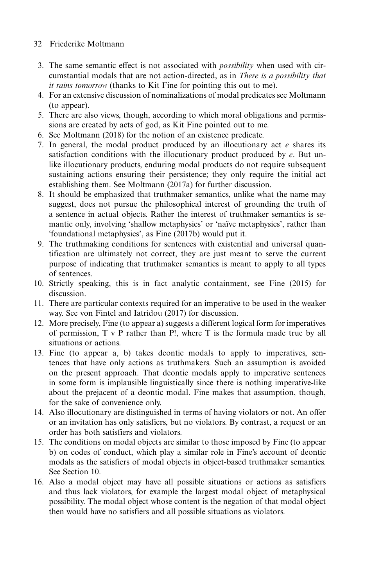- 3. The same semantic effect is not associated with *possibility* when used with circumstantial modals that are not action-directed, as in *There is a possibility that it rains tomorrow* (thanks to Kit Fine for pointing this out to me).
- 4. For an extensive discussion of nominalizations of modal predicates see Moltmann (to appear).
- 5. There are also views, though, according to which moral obligations and permissions are created by acts of god, as Kit Fine pointed out to me.
- 6. See Moltmann (2018) for the notion of an existence predicate.
- 7. In general, the modal product produced by an illocutionary act *e* shares its satisfaction conditions with the illocutionary product produced by *e*. But unlike illocutionary products, enduring modal products do not require subsequent sustaining actions ensuring their persistence; they only require the initial act establishing them. See Moltmann (2017a) for further discussion.
- 8. It should be emphasized that truthmaker semantics, unlike what the name may suggest, does not pursue the philosophical interest of grounding the truth of a sentence in actual objects. Rather the interest of truthmaker semantics is semantic only, involving 'shallow metaphysics' or 'naïve metaphysics', rather than 'foundational metaphysics', as Fine (2017b) would put it.
- 9. The truthmaking conditions for sentences with existential and universal quantification are ultimately not correct, they are just meant to serve the current purpose of indicating that truthmaker semantics is meant to apply to all types of sentences.
- 10. Strictly speaking, this is in fact analytic containment, see Fine (2015) for discussion.
- 11. There are particular contexts required for an imperative to be used in the weaker way. See von Fintel and Iatridou (2017) for discussion.
- 12. More precisely, Fine (to appear a) suggests a different logical form for imperatives of permission, T v P rather than P!, where T is the formula made true by all situations or actions.
- 13. Fine (to appear a, b) takes deontic modals to apply to imperatives, sentences that have only actions as truthmakers. Such an assumption is avoided on the present approach. That deontic modals apply to imperative sentences in some form is implausible linguistically since there is nothing imperative-like about the prejacent of a deontic modal. Fine makes that assumption, though, for the sake of convenience only.
- 14. Also illocutionary are distinguished in terms of having violators or not. An offer or an invitation has only satisfiers, but no violators. By contrast, a request or an order has both satisfiers and violators.
- 15. The conditions on modal objects are similar to those imposed by Fine (to appear b) on codes of conduct, which play a similar role in Fine's account of deontic modals as the satisfiers of modal objects in object-based truthmaker semantics. See Section 10.
- 16. Also a modal object may have all possible situations or actions as satisfiers and thus lack violators, for example the largest modal object of metaphysical possibility. The modal object whose content is the negation of that modal object then would have no satisfiers and all possible situations as violators.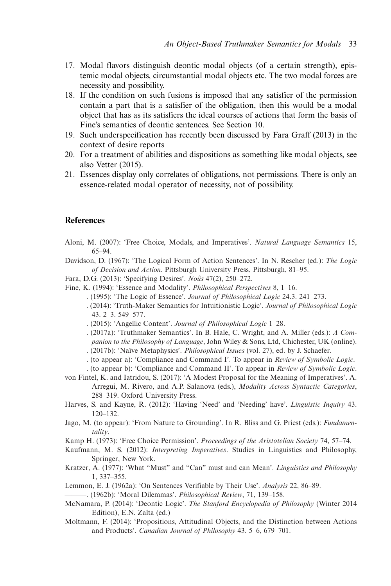- 17. Modal flavors distinguish deontic modal objects (of a certain strength), epistemic modal objects, circumstantial modal objects etc. The two modal forces are necessity and possibility.
- 18. If the condition on such fusions is imposed that any satisfier of the permission contain a part that is a satisfier of the obligation, then this would be a modal object that has as its satisfiers the ideal courses of actions that form the basis of Fine's semantics of deontic sentences. See Section 10.
- 19. Such underspecification has recently been discussed by Fara Graff (2013) in the context of desire reports
- 20. For a treatment of abilities and dispositions as something like modal objects, see also Vetter (2015).
- 21. Essences display only correlates of obligations, not permissions. There is only an essence-related modal operator of necessity, not of possibility.

# **References**

Aloni, M. (2007): 'Free Choice, Modals, and Imperatives'. *Natural Language Semantics* 15, 65–94. Davidson, D. (1967): 'The Logical Form of Action Sentences'. In N. Rescher (ed.): *The Logic of Decision and Action*. Pittsburgh University Press, Pittsburgh, 81–95.

Fara, D.G. (2013): 'Specifying Desires'. *Nousˆ* 47(2), 250–272.

- Fine, K. (1994): 'Essence and Modality'. *Philosophical Perspectives* 8, 1–16.
- ———. (1995): 'The Logic of Essence'. *Journal of Philosophical Logic* 24.3. 241–273.
- ———. (2014): 'Truth-Maker Semantics for Intuitionistic Logic'. *Journal of Philosophical Logic* 43. 2–3. 549–577.
- ———. (2015): 'Angellic Content'. *Journal of Philosophical Logic* 1–28.
- ———. (2017a): 'Truthmaker Semantics'. In B. Hale, C. Wright, and A. Miller (eds.): *A Companion to the Philosophy of Language*, John Wiley & Sons, Ltd, Chichester, UK (online). ———. (2017b): 'Na¨ıve Metaphysics'. *Philosophical Issues* (vol. 27), ed. by J. Schaefer.
- 
- ———. (to appear a): 'Compliance and Command I'. To appear in *Review of Symbolic Logic*.

———. (to appear b): 'Compliance and Command II'. To appear in *Review of Symbolic Logic*.

- von Fintel, K. and Iatridou, S. (2017): 'A Modest Proposal for the Meaning of Imperatives'. A. Arregui, M. Rivero, and A.P. Salanova (eds.), *Modality Across Syntactic Categories*, 288–319. Oxford University Press.
- Harves, S. and Kayne, R. (2012): 'Having 'Need' and 'Needing' have'. *Linguistic Inquiry* 43. 120–132.
- Jago, M. (to appear): 'From Nature to Grounding'. In R. Bliss and G. Priest (eds.): *Fundamentality*.
- Kamp H. (1973): 'Free Choice Permission'. *Proceedings of the Aristotelian Society* 74, 57–74.
- Kaufmann, M. S. (2012): *Interpreting Imperatives*. Studies in Linguistics and Philosophy, Springer, New York.
- Kratzer, A. (1977): 'What "Must" and "Can" must and can Mean'. *Linguistics and Philosophy* 1, 337–355.
- Lemmon, E. J. (1962a): 'On Sentences Verifiable by Their Use'. *Analysis* 22, 86–89.
- ———. (1962b): 'Moral Dilemmas'. *Philosophical Review*, 71, 139–158.
- McNamara, P. (2014): 'Deontic Logic'. *The Stanford Encyclopedia of Philosophy* (Winter 2014 Edition), E.N. Zalta (ed.)
- Moltmann, F. (2014): 'Propositions, Attitudinal Objects, and the Distinction between Actions and Products'. *Canadian Journal of Philosophy* 43. 5–6, 679–701.